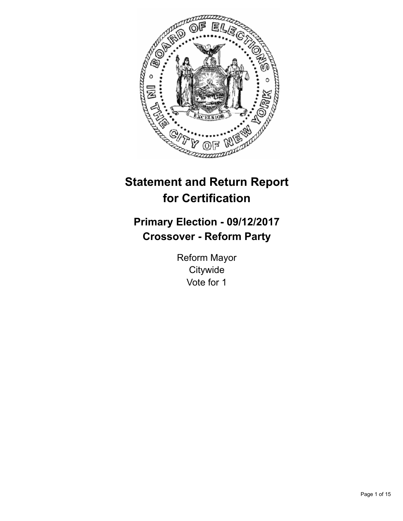

# **Statement and Return Report for Certification**

## **Primary Election - 09/12/2017 Crossover - Reform Party**

Reform Mayor **Citywide** Vote for 1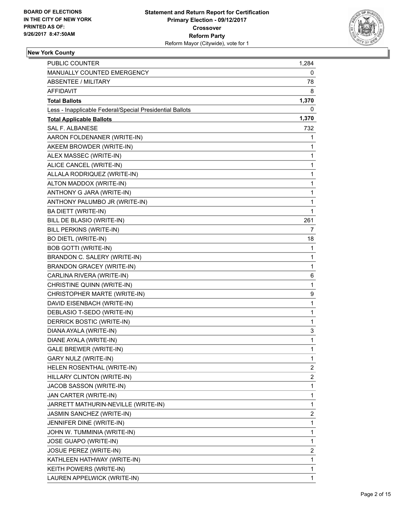

#### **New York County**

| <b>PUBLIC COUNTER</b>                                    | 1,284 |
|----------------------------------------------------------|-------|
| <b>MANUALLY COUNTED EMERGENCY</b>                        | 0     |
| ABSENTEE / MILITARY                                      | 78    |
| AFFIDAVIT                                                | 8     |
| <b>Total Ballots</b>                                     | 1,370 |
| Less - Inapplicable Federal/Special Presidential Ballots | 0     |
| <b>Total Applicable Ballots</b>                          | 1,370 |
| <b>SAL F. ALBANESE</b>                                   | 732   |
| AARON FOLDENANER (WRITE-IN)                              | 1     |
| AKEEM BROWDER (WRITE-IN)                                 | 1     |
| ALEX MASSEC (WRITE-IN)                                   | 1     |
| ALICE CANCEL (WRITE-IN)                                  | 1     |
| ALLALA RODRIQUEZ (WRITE-IN)                              | 1     |
| ALTON MADDOX (WRITE-IN)                                  | 1     |
| ANTHONY G JARA (WRITE-IN)                                | 1     |
| ANTHONY PALUMBO JR (WRITE-IN)                            | 1     |
| <b>BA DIETT (WRITE-IN)</b>                               | 1     |
| BILL DE BLASIO (WRITE-IN)                                | 261   |
| BILL PERKINS (WRITE-IN)                                  | 7     |
| <b>BO DIETL (WRITE-IN)</b>                               | 18    |
| <b>BOB GOTTI (WRITE-IN)</b>                              | 1     |
| BRANDON C. SALERY (WRITE-IN)                             | 1     |
| <b>BRANDON GRACEY (WRITE-IN)</b>                         | 1     |
| CARLINA RIVERA (WRITE-IN)                                | 6     |
| CHRISTINE QUINN (WRITE-IN)                               | 1     |
| CHRISTOPHER MARTE (WRITE-IN)                             | 9     |
| DAVID EISENBACH (WRITE-IN)                               | 1     |
| DEBLASIO T-SEDO (WRITE-IN)                               | 1     |
| DERRICK BOSTIC (WRITE-IN)                                | 1     |
| DIANA AYALA (WRITE-IN)                                   | 3     |
| DIANE AYALA (WRITE-IN)                                   | 1     |
| <b>GALE BREWER (WRITE-IN)</b>                            | 1     |
| GARY NULZ (WRITE-IN)                                     | 1     |
| HELEN ROSENTHAL (WRITE-IN)                               | 2     |
| HILLARY CLINTON (WRITE-IN)                               | 2     |
| JACOB SASSON (WRITE-IN)                                  | 1     |
| JAN CARTER (WRITE-IN)                                    | 1     |
| JARRETT MATHURIN-NEVILLE (WRITE-IN)                      | 1     |
| JASMIN SANCHEZ (WRITE-IN)                                | 2     |
| JENNIFER DINE (WRITE-IN)                                 | 1     |
| JOHN W. TUMMINIA (WRITE-IN)                              | 1     |
| JOSE GUAPO (WRITE-IN)                                    | 1     |
| <b>JOSUE PEREZ (WRITE-IN)</b>                            | 2     |
| KATHLEEN HATHWAY (WRITE-IN)                              | 1     |
| KEITH POWERS (WRITE-IN)                                  | 1     |
| LAUREN APPELWICK (WRITE-IN)                              | 1     |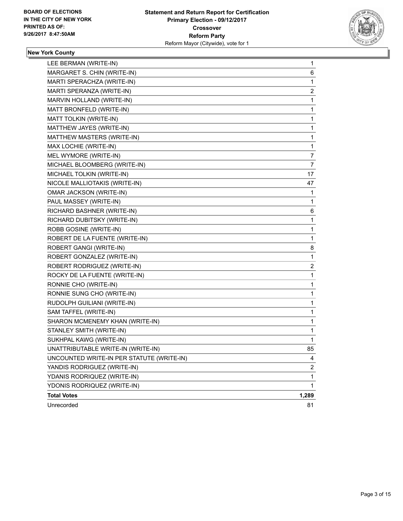

#### **New York County**

| LEE BERMAN (WRITE-IN)                     | 1                       |
|-------------------------------------------|-------------------------|
| MARGARET S. CHIN (WRITE-IN)               | 6                       |
| MARTI SPERACHZA (WRITE-IN)                | 1                       |
| MARTI SPERANZA (WRITE-IN)                 | 2                       |
| MARVIN HOLLAND (WRITE-IN)                 | 1                       |
| MATT BRONFELD (WRITE-IN)                  | 1                       |
| MATT TOLKIN (WRITE-IN)                    | 1                       |
| MATTHEW JAYES (WRITE-IN)                  | 1                       |
| MATTHEW MASTERS (WRITE-IN)                | 1                       |
| MAX LOCHIE (WRITE-IN)                     | 1                       |
| MEL WYMORE (WRITE-IN)                     | 7                       |
| MICHAEL BLOOMBERG (WRITE-IN)              | 7                       |
| MICHAEL TOLKIN (WRITE-IN)                 | 17                      |
| NICOLE MALLIOTAKIS (WRITE-IN)             | 47                      |
| <b>OMAR JACKSON (WRITE-IN)</b>            | 1                       |
| PAUL MASSEY (WRITE-IN)                    | 1                       |
| RICHARD BASHNER (WRITE-IN)                | 6                       |
| RICHARD DUBITSKY (WRITE-IN)               | 1                       |
| ROBB GOSINE (WRITE-IN)                    | 1                       |
| ROBERT DE LA FUENTE (WRITE-IN)            | 1                       |
| ROBERT GANGI (WRITE-IN)                   | 8                       |
| ROBERT GONZALEZ (WRITE-IN)                | 1                       |
| ROBERT RODRIGUEZ (WRITE-IN)               | $\overline{\mathbf{c}}$ |
| ROCKY DE LA FUENTE (WRITE-IN)             | 1                       |
| RONNIE CHO (WRITE-IN)                     | 1                       |
| RONNIE SUNG CHO (WRITE-IN)                | 1                       |
| RUDOLPH GUILIANI (WRITE-IN)               | 1                       |
| SAM TAFFEL (WRITE-IN)                     | 1                       |
| SHARON MCMENEMY KHAN (WRITE-IN)           | 1                       |
| STANLEY SMITH (WRITE-IN)                  | 1                       |
| SUKHPAL KAWG (WRITE-IN)                   | 1                       |
| UNATTRIBUTABLE WRITE-IN (WRITE-IN)        | 85                      |
| UNCOUNTED WRITE-IN PER STATUTE (WRITE-IN) | 4                       |
| YANDIS RODRIGUEZ (WRITE-IN)               | $\overline{\mathbf{c}}$ |
| YDANIS RODRIQUEZ (WRITE-IN)               | 1                       |
| YDONIS RODRIQUEZ (WRITE-IN)               | 1                       |
| <b>Total Votes</b>                        | 1,289                   |
| Unrecorded                                | 81                      |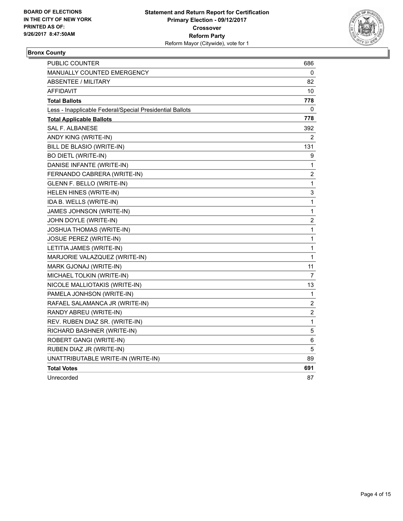

#### **Bronx County**

| PUBLIC COUNTER                                           | 686              |
|----------------------------------------------------------|------------------|
| <b>MANUALLY COUNTED EMERGENCY</b>                        | 0                |
| ABSENTEE / MILITARY                                      | 82               |
| AFFIDAVIT                                                | 10               |
| <b>Total Ballots</b>                                     | 778              |
| Less - Inapplicable Federal/Special Presidential Ballots | 0                |
| <b>Total Applicable Ballots</b>                          | 778              |
| <b>SAL F. ALBANESE</b>                                   | 392              |
| ANDY KING (WRITE-IN)                                     | 2                |
| BILL DE BLASIO (WRITE-IN)                                | 131              |
| <b>BO DIETL (WRITE-IN)</b>                               | 9                |
| DANISE INFANTE (WRITE-IN)                                | 1                |
| FERNANDO CABRERA (WRITE-IN)                              | 2                |
| GLENN F. BELLO (WRITE-IN)                                | 1                |
| HELEN HINES (WRITE-IN)                                   | 3                |
| IDA B. WELLS (WRITE-IN)                                  | 1                |
| JAMES JOHNSON (WRITE-IN)                                 | $\mathbf{1}$     |
| JOHN DOYLE (WRITE-IN)                                    | 2                |
| <b>JOSHUA THOMAS (WRITE-IN)</b>                          | $\mathbf{1}$     |
| <b>JOSUE PEREZ (WRITE-IN)</b>                            | 1                |
| LETITIA JAMES (WRITE-IN)                                 | 1                |
| MARJORIE VALAZQUEZ (WRITE-IN)                            | 1                |
| MARK GJONAJ (WRITE-IN)                                   | 11               |
| MICHAEL TOLKIN (WRITE-IN)                                | $\overline{7}$   |
| NICOLE MALLIOTAKIS (WRITE-IN)                            | 13               |
| PAMELA JONHSON (WRITE-IN)                                | 1                |
| RAFAEL SALAMANCA JR (WRITE-IN)                           | 2                |
| RANDY ABREU (WRITE-IN)                                   | $\boldsymbol{2}$ |
| REV. RUBEN DIAZ SR. (WRITE-IN)                           | $\mathbf 1$      |
| RICHARD BASHNER (WRITE-IN)                               | 5                |
| ROBERT GANGI (WRITE-IN)                                  | 6                |
| RUBEN DIAZ JR (WRITE-IN)                                 | 5                |
| UNATTRIBUTABLE WRITE-IN (WRITE-IN)                       | 89               |
| <b>Total Votes</b>                                       | 691              |
| Unrecorded                                               | 87               |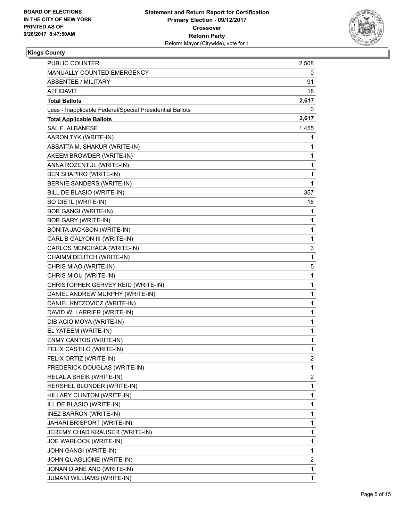

### **Kings County**

| PUBLIC COUNTER                                           | 2,508                   |
|----------------------------------------------------------|-------------------------|
| MANUALLY COUNTED EMERGENCY                               | 0                       |
| ABSENTEE / MILITARY                                      | 91                      |
| AFFIDAVIT                                                | 18                      |
| <b>Total Ballots</b>                                     | 2,617                   |
| Less - Inapplicable Federal/Special Presidential Ballots | 0                       |
| <b>Total Applicable Ballots</b>                          | 2,617                   |
| <b>SAL F. ALBANESE</b>                                   | 1,455                   |
| AARON TYK (WRITE-IN)                                     | 1                       |
| ABSATTA M. SHAKUR (WRITE-IN)                             | 1                       |
| AKEEM BROWDER (WRITE-IN)                                 | 1                       |
| ANNA ROZENTUL (WRITE-IN)                                 | 1                       |
| <b>BEN SHAPIRO (WRITE-IN)</b>                            | 1                       |
| BERNIE SANDERS (WRITE-IN)                                | 1                       |
| BILL DE BLASIO (WRITE-IN)                                | 357                     |
| <b>BO DIETL (WRITE-IN)</b>                               | 18                      |
| <b>BOB GANGI (WRITE-IN)</b>                              | 1                       |
| <b>BOB GARY (WRITE-IN)</b>                               | 1                       |
| <b>BONITA JACKSON (WRITE-IN)</b>                         | 1                       |
| CARL B GALYON III (WRITE-IN)                             | 1                       |
| CARLOS MENCHACA (WRITE-IN)                               | 3                       |
| CHAIMM DEUTCH (WRITE-IN)                                 | 1                       |
| CHRIS MIAO (WRITE-IN)                                    | 5                       |
| CHRIS MIOU (WRITE-IN)                                    | 1                       |
| CHRISTOPHER GERVEY REID (WRITE-IN)                       | 1                       |
| DANIEL ANDREW MURPHY (WRITE-IN)                          | 1                       |
| DANIEL KNTZOVICZ (WRITE-IN)                              | 1                       |
| DAVID W. LARRIER (WRITE-IN)                              | 1                       |
| DIBIACIO MOYA (WRITE-IN)                                 | 1                       |
| EL YATEEM (WRITE-IN)                                     | 1                       |
| ENMY CANTOS (WRITE-IN)                                   | 1                       |
| FELIX CASTILO (WRITE-IN)                                 | 1                       |
| FELIX ORTIZ (WRITE-IN)                                   | 2                       |
| FREDERICK DOUGLAS (WRITE-IN)                             | 1                       |
| HELAL A SHEIK (WRITE-IN)                                 | $\overline{\mathbf{c}}$ |
| HERSHEL BLONDER (WRITE-IN)                               | 1                       |
| HILLARY CLINTON (WRITE-IN)                               | 1                       |
| ILL DE BLASIO (WRITE-IN)                                 | 1                       |
| INEZ BARRON (WRITE-IN)                                   | 1                       |
| JAHARI BRISPORT (WRITE-IN)                               | 1                       |
| JEREMY CHAD KRAUSER (WRITE-IN)                           | 1                       |
| JOE WARLOCK (WRITE-IN)                                   | 1                       |
| JOHN GANGI (WRITE-IN)                                    | 1                       |
| JOHN QUAGLIONE (WRITE-IN)                                | 2                       |
| JONAN DIANE AND (WRITE-IN)                               | 1                       |
| JUMANI WILLIAMS (WRITE-IN)                               | 1                       |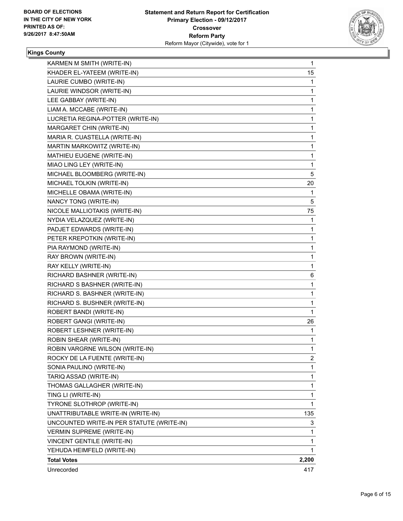

## **Kings County**

| KARMEN M SMITH (WRITE-IN)                 | $\mathbf{1}$ |
|-------------------------------------------|--------------|
| KHADER EL-YATEEM (WRITE-IN)               | 15           |
| LAURIE CUMBO (WRITE-IN)                   | 1            |
| LAURIE WINDSOR (WRITE-IN)                 | 1            |
| LEE GABBAY (WRITE-IN)                     | 1            |
| LIAM A. MCCABE (WRITE-IN)                 | 1            |
| LUCRETIA REGINA-POTTER (WRITE-IN)         | 1            |
| MARGARET CHIN (WRITE-IN)                  | 1            |
| MARIA R. CUASTELLA (WRITE-IN)             | 1            |
| MARTIN MARKOWITZ (WRITE-IN)               | 1            |
| MATHIEU EUGENE (WRITE-IN)                 | 1            |
| MIAO LING LEY (WRITE-IN)                  | 1            |
| MICHAEL BLOOMBERG (WRITE-IN)              | 5            |
| MICHAEL TOLKIN (WRITE-IN)                 | 20           |
| MICHELLE OBAMA (WRITE-IN)                 | 1            |
| NANCY TONG (WRITE-IN)                     | 5            |
| NICOLE MALLIOTAKIS (WRITE-IN)             | 75           |
| NYDIA VELAZQUEZ (WRITE-IN)                | 1            |
| PADJET EDWARDS (WRITE-IN)                 | 1            |
| PETER KREPOTKIN (WRITE-IN)                | 1            |
| PIA RAYMOND (WRITE-IN)                    | 1            |
| RAY BROWN (WRITE-IN)                      | 1            |
| RAY KELLY (WRITE-IN)                      | 1            |
| RICHARD BASHNER (WRITE-IN)                | 6            |
| RICHARD S BASHNER (WRITE-IN)              | 1            |
| RICHARD S. BASHNER (WRITE-IN)             | 1            |
| RICHARD S. BUSHNER (WRITE-IN)             | 1            |
| ROBERT BANDI (WRITE-IN)                   | 1            |
| ROBERT GANGI (WRITE-IN)                   | 26           |
| ROBERT LESHNER (WRITE-IN)                 | 1            |
| ROBIN SHEAR (WRITE-IN)                    | 1            |
| ROBIN VARGRNE WILSON (WRITE-IN)           | 1            |
| ROCKY DE LA FUENTE (WRITE-IN)             | 2            |
| SONIA PAULINO (WRITE-IN)                  | 1            |
| TARIQ ASSAD (WRITE-IN)                    | 1            |
| THOMAS GALLAGHER (WRITE-IN)               | 1            |
| TING LI (WRITE-IN)                        | 1            |
| TYRONE SLOTHROP (WRITE-IN)                | $\mathbf{1}$ |
| UNATTRIBUTABLE WRITE-IN (WRITE-IN)        | 135          |
| UNCOUNTED WRITE-IN PER STATUTE (WRITE-IN) | 3            |
| <b>VERMIN SUPREME (WRITE-IN)</b>          | 1            |
| VINCENT GENTILE (WRITE-IN)                | 1            |
| YEHUDA HEIMFELD (WRITE-IN)                | 1            |
| <b>Total Votes</b>                        | 2,200        |
| Unrecorded                                | 417          |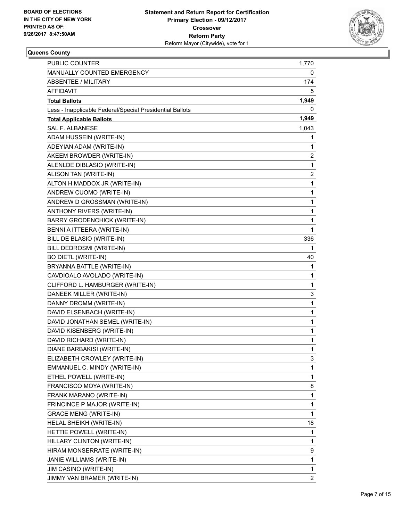

#### **Queens County**

| <b>PUBLIC COUNTER</b>                                    | 1,770        |
|----------------------------------------------------------|--------------|
| <b>MANUALLY COUNTED EMERGENCY</b>                        | 0            |
| <b>ABSENTEE / MILITARY</b>                               | 174          |
| <b>AFFIDAVIT</b>                                         | 5            |
| <b>Total Ballots</b>                                     | 1,949        |
| Less - Inapplicable Federal/Special Presidential Ballots | 0            |
| <b>Total Applicable Ballots</b>                          | 1,949        |
| <b>SAL F. ALBANESE</b>                                   | 1,043        |
| ADAM HUSSEIN (WRITE-IN)                                  | 1            |
| ADEYIAN ADAM (WRITE-IN)                                  | 1            |
| AKEEM BROWDER (WRITE-IN)                                 | 2            |
| ALENLDE DIBLASIO (WRITE-IN)                              | 1            |
| ALISON TAN (WRITE-IN)                                    | 2            |
| ALTON H MADDOX JR (WRITE-IN)                             | 1            |
| ANDREW CUOMO (WRITE-IN)                                  | $\mathbf 1$  |
| ANDREW D GROSSMAN (WRITE-IN)                             | $\mathbf{1}$ |
| ANTHONY RIVERS (WRITE-IN)                                | 1            |
| <b>BARRY GRODENCHICK (WRITE-IN)</b>                      | 1            |
| BENNI A ITTEERA (WRITE-IN)                               | 1            |
| BILL DE BLASIO (WRITE-IN)                                | 336          |
| BILL DEDROSMI (WRITE-IN)                                 | 1            |
| <b>BO DIETL (WRITE-IN)</b>                               | 40           |
| BRYANNA BATTLE (WRITE-IN)                                | 1            |
| CAVDIOALO AVOLADO (WRITE-IN)                             | 1            |
| CLIFFORD L. HAMBURGER (WRITE-IN)                         | 1            |
| DANEEK MILLER (WRITE-IN)                                 | 3            |
| DANNY DROMM (WRITE-IN)                                   | 1            |
| DAVID ELSENBACH (WRITE-IN)                               | $\mathbf{1}$ |
| DAVID JONATHAN SEMEL (WRITE-IN)                          | 1            |
| DAVID KISENBERG (WRITE-IN)                               | 1            |
| DAVID RICHARD (WRITE-IN)                                 | $\mathbf{1}$ |
| <b>DIANE BARBAKISI (WRITE-IN)</b>                        | 1            |
| ELIZABETH CROWLEY (WRITE-IN)                             | 3            |
| EMMANUEL C. MINDY (WRITE-IN)                             | 1            |
| ETHEL POWELL (WRITE-IN)                                  | $\mathbf{1}$ |
| FRANCISCO MOYA (WRITE-IN)                                | 8            |
| FRANK MARANO (WRITE-IN)                                  | 1            |
| FRINCINCE P MAJOR (WRITE-IN)                             | 1            |
| <b>GRACE MENG (WRITE-IN)</b>                             | 1            |
| HELAL SHEIKH (WRITE-IN)                                  | 18           |
| HETTIE POWELL (WRITE-IN)                                 | 1            |
| HILLARY CLINTON (WRITE-IN)                               | 1            |
| HIRAM MONSERRATE (WRITE-IN)                              | 9            |
| JANIE WILLIAMS (WRITE-IN)                                | 1            |
| JIM CASINO (WRITE-IN)                                    | 1            |
| JIMMY VAN BRAMER (WRITE-IN)                              | 2            |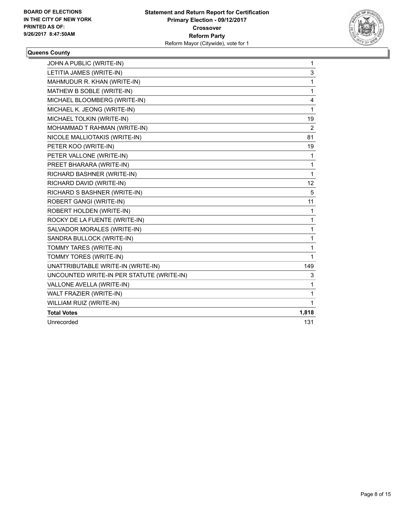

#### **Queens County**

| JOHN A PUBLIC (WRITE-IN)                  | $\mathbf{1}$   |
|-------------------------------------------|----------------|
| LETITIA JAMES (WRITE-IN)                  | 3              |
| MAHMUDUR R. KHAN (WRITE-IN)               | 1              |
| MATHEW B SOBLE (WRITE-IN)                 | 1              |
| MICHAEL BLOOMBERG (WRITE-IN)              | 4              |
| MICHAEL K. JEONG (WRITE-IN)               | 1              |
| MICHAEL TOLKIN (WRITE-IN)                 | 19             |
| MOHAMMAD T RAHMAN (WRITE-IN)              | $\overline{2}$ |
| NICOLE MALLIOTAKIS (WRITE-IN)             | 81             |
| PETER KOO (WRITE-IN)                      | 19             |
| PETER VALLONE (WRITE-IN)                  | 1              |
| PREET BHARARA (WRITE-IN)                  | 1              |
| RICHARD BASHNER (WRITE-IN)                | 1              |
| RICHARD DAVID (WRITE-IN)                  | 12             |
| RICHARD S BASHNER (WRITE-IN)              | 5              |
| ROBERT GANGI (WRITE-IN)                   | 11             |
| ROBERT HOLDEN (WRITE-IN)                  | 1              |
| ROCKY DE LA FUENTE (WRITE-IN)             | 1              |
| SALVADOR MORALES (WRITE-IN)               | 1              |
| SANDRA BULLOCK (WRITE-IN)                 | 1              |
| TOMMY TARES (WRITE-IN)                    | 1              |
| TOMMY TORES (WRITE-IN)                    | $\mathbf{1}$   |
| UNATTRIBUTABLE WRITE-IN (WRITE-IN)        | 149            |
| UNCOUNTED WRITE-IN PER STATUTE (WRITE-IN) | 3              |
| VALLONE AVELLA (WRITE-IN)                 | 1              |
| WALT FRAZIER (WRITE-IN)                   | 1              |
| WILLIAM RUIZ (WRITE-IN)                   | $\mathbf{1}$   |
| <b>Total Votes</b>                        | 1,818          |
| Unrecorded                                | 131            |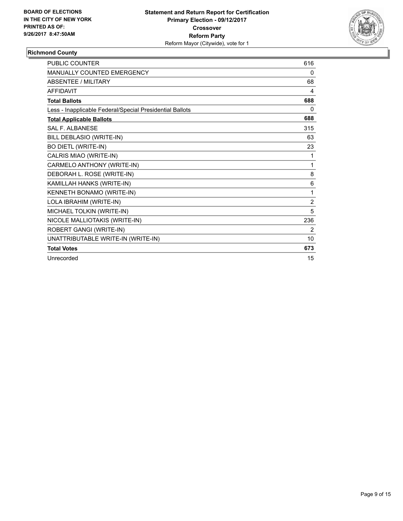

#### **Richmond County**

| <b>PUBLIC COUNTER</b>                                    | 616 |
|----------------------------------------------------------|-----|
| <b>MANUALLY COUNTED EMERGENCY</b>                        | 0   |
| <b>ABSENTEE / MILITARY</b>                               | 68  |
| <b>AFFIDAVIT</b>                                         | 4   |
| <b>Total Ballots</b>                                     | 688 |
| Less - Inapplicable Federal/Special Presidential Ballots | 0   |
| <b>Total Applicable Ballots</b>                          | 688 |
| <b>SAL F. ALBANESE</b>                                   | 315 |
| BILL DEBLASIO (WRITE-IN)                                 | 63  |
| <b>BO DIETL (WRITE-IN)</b>                               | 23  |
| CALRIS MIAO (WRITE-IN)                                   | 1   |
| CARMELO ANTHONY (WRITE-IN)                               | 1   |
| DEBORAH L. ROSE (WRITE-IN)                               | 8   |
| KAMILLAH HANKS (WRITE-IN)                                | 6   |
| KENNETH BONAMO (WRITE-IN)                                | 1   |
| LOLA IBRAHIM (WRITE-IN)                                  | 2   |
| MICHAEL TOLKIN (WRITE-IN)                                | 5   |
| NICOLE MALLIOTAKIS (WRITE-IN)                            | 236 |
| ROBERT GANGI (WRITE-IN)                                  | 2   |
| UNATTRIBUTABLE WRITE-IN (WRITE-IN)                       | 10  |
| <b>Total Votes</b>                                       | 673 |
| Unrecorded                                               | 15  |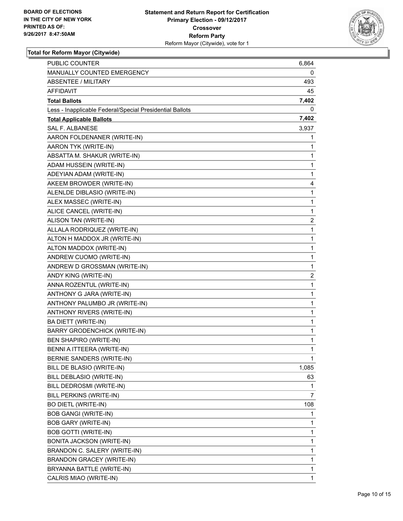

| PUBLIC COUNTER                                           | 6,864 |
|----------------------------------------------------------|-------|
| MANUALLY COUNTED EMERGENCY                               | 0     |
| <b>ABSENTEE / MILITARY</b>                               | 493   |
| AFFIDAVIT                                                | 45    |
| <b>Total Ballots</b>                                     | 7,402 |
| Less - Inapplicable Federal/Special Presidential Ballots | 0     |
| <b>Total Applicable Ballots</b>                          | 7,402 |
| <b>SAL F. ALBANESE</b>                                   | 3,937 |
| AARON FOLDENANER (WRITE-IN)                              | 1     |
| AARON TYK (WRITE-IN)                                     | 1     |
| ABSATTA M. SHAKUR (WRITE-IN)                             | 1     |
| ADAM HUSSEIN (WRITE-IN)                                  | 1     |
| ADEYIAN ADAM (WRITE-IN)                                  | 1     |
| AKEEM BROWDER (WRITE-IN)                                 | 4     |
| ALENLDE DIBLASIO (WRITE-IN)                              | 1     |
| ALEX MASSEC (WRITE-IN)                                   | 1     |
| ALICE CANCEL (WRITE-IN)                                  | 1     |
| ALISON TAN (WRITE-IN)                                    | 2     |
| ALLALA RODRIQUEZ (WRITE-IN)                              | 1     |
| ALTON H MADDOX JR (WRITE-IN)                             | 1     |
| ALTON MADDOX (WRITE-IN)                                  | 1     |
| ANDREW CUOMO (WRITE-IN)                                  | 1     |
| ANDREW D GROSSMAN (WRITE-IN)                             | 1     |
| ANDY KING (WRITE-IN)                                     | 2     |
| ANNA ROZENTUL (WRITE-IN)                                 | 1     |
| ANTHONY G JARA (WRITE-IN)                                | 1     |
| ANTHONY PALUMBO JR (WRITE-IN)                            | 1     |
| ANTHONY RIVERS (WRITE-IN)                                | 1     |
| BA DIETT (WRITE-IN)                                      | 1     |
| <b>BARRY GRODENCHICK (WRITE-IN)</b>                      | 1     |
| BEN SHAPIRO (WRITE-IN)                                   | 1     |
| BENNI A ITTEERA (WRITE-IN)                               | 1     |
| BERNIE SANDERS (WRITE-IN)                                | 1     |
| BILL DE BLASIO (WRITE-IN)                                | 1,085 |
| BILL DEBLASIO (WRITE-IN)                                 | 63    |
| BILL DEDROSMI (WRITE-IN)                                 | 1     |
| BILL PERKINS (WRITE-IN)                                  | 7     |
| <b>BO DIETL (WRITE-IN)</b>                               | 108   |
| <b>BOB GANGI (WRITE-IN)</b>                              | 1     |
| <b>BOB GARY (WRITE-IN)</b>                               | 1     |
| <b>BOB GOTTI (WRITE-IN)</b>                              | 1     |
| <b>BONITA JACKSON (WRITE-IN)</b>                         | 1     |
| BRANDON C. SALERY (WRITE-IN)                             | 1     |
| <b>BRANDON GRACEY (WRITE-IN)</b>                         | 1     |
| BRYANNA BATTLE (WRITE-IN)                                | 1     |
| CALRIS MIAO (WRITE-IN)                                   | 1     |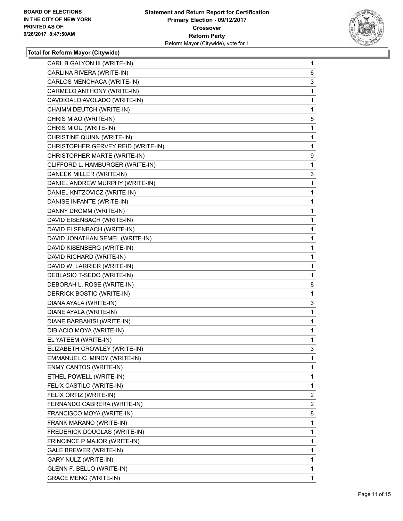

| CARL B GALYON III (WRITE-IN)       | 1 |
|------------------------------------|---|
| CARLINA RIVERA (WRITE-IN)          | 6 |
| CARLOS MENCHACA (WRITE-IN)         | 3 |
| CARMELO ANTHONY (WRITE-IN)         | 1 |
| CAVDIOALO AVOLADO (WRITE-IN)       | 1 |
| CHAIMM DEUTCH (WRITE-IN)           | 1 |
| CHRIS MIAO (WRITE-IN)              | 5 |
| CHRIS MIOU (WRITE-IN)              | 1 |
| CHRISTINE QUINN (WRITE-IN)         | 1 |
| CHRISTOPHER GERVEY REID (WRITE-IN) | 1 |
| CHRISTOPHER MARTE (WRITE-IN)       | 9 |
| CLIFFORD L. HAMBURGER (WRITE-IN)   | 1 |
| DANEEK MILLER (WRITE-IN)           | 3 |
| DANIEL ANDREW MURPHY (WRITE-IN)    | 1 |
| DANIEL KNTZOVICZ (WRITE-IN)        | 1 |
| DANISE INFANTE (WRITE-IN)          | 1 |
| DANNY DROMM (WRITE-IN)             | 1 |
| DAVID EISENBACH (WRITE-IN)         | 1 |
| DAVID ELSENBACH (WRITE-IN)         | 1 |
| DAVID JONATHAN SEMEL (WRITE-IN)    | 1 |
| DAVID KISENBERG (WRITE-IN)         | 1 |
| DAVID RICHARD (WRITE-IN)           | 1 |
| DAVID W. LARRIER (WRITE-IN)        | 1 |
| DEBLASIO T-SEDO (WRITE-IN)         | 1 |
| DEBORAH L. ROSE (WRITE-IN)         | 8 |
| DERRICK BOSTIC (WRITE-IN)          | 1 |
| DIANA AYALA (WRITE-IN)             | 3 |
| DIANE AYALA (WRITE-IN)             | 1 |
| DIANE BARBAKISI (WRITE-IN)         | 1 |
| DIBIACIO MOYA (WRITE-IN)           | 1 |
| EL YATEEM (WRITE-IN)               | 1 |
| ELIZABETH CROWLEY (WRITE-IN)       | 3 |
| EMMANUEL C. MINDY (WRITE-IN)       | 1 |
| ENMY CANTOS (WRITE-IN)             | 1 |
| ETHEL POWELL (WRITE-IN)            | 1 |
| FELIX CASTILO (WRITE-IN)           | 1 |
| FELIX ORTIZ (WRITE-IN)             | 2 |
| FERNANDO CABRERA (WRITE-IN)        | 2 |
| FRANCISCO MOYA (WRITE-IN)          | 8 |
| FRANK MARANO (WRITE-IN)            | 1 |
| FREDERICK DOUGLAS (WRITE-IN)       | 1 |
| FRINCINCE P MAJOR (WRITE-IN)       | 1 |
| GALE BREWER (WRITE-IN)             | 1 |
| GARY NULZ (WRITE-IN)               | 1 |
| GLENN F. BELLO (WRITE-IN)          | 1 |
| <b>GRACE MENG (WRITE-IN)</b>       | 1 |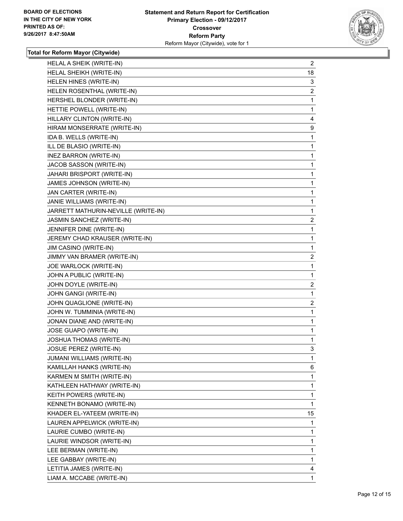

| HELAL A SHEIK (WRITE-IN)            | $\overline{2}$ |
|-------------------------------------|----------------|
| HELAL SHEIKH (WRITE-IN)             | 18             |
| HELEN HINES (WRITE-IN)              | 3              |
| HELEN ROSENTHAL (WRITE-IN)          | 2              |
| HERSHEL BLONDER (WRITE-IN)          | 1              |
| HETTIE POWELL (WRITE-IN)            | 1              |
| HILLARY CLINTON (WRITE-IN)          | 4              |
| HIRAM MONSERRATE (WRITE-IN)         | 9              |
| IDA B. WELLS (WRITE-IN)             | 1              |
| ILL DE BLASIO (WRITE-IN)            | 1              |
| INEZ BARRON (WRITE-IN)              | 1              |
| JACOB SASSON (WRITE-IN)             | 1              |
| JAHARI BRISPORT (WRITE-IN)          | 1              |
| JAMES JOHNSON (WRITE-IN)            | 1              |
| JAN CARTER (WRITE-IN)               | 1              |
| JANIE WILLIAMS (WRITE-IN)           | 1              |
| JARRETT MATHURIN-NEVILLE (WRITE-IN) | 1              |
| JASMIN SANCHEZ (WRITE-IN)           | $\mathbf{2}$   |
| JENNIFER DINE (WRITE-IN)            | 1              |
| JEREMY CHAD KRAUSER (WRITE-IN)      | 1              |
| JIM CASINO (WRITE-IN)               | 1              |
| JIMMY VAN BRAMER (WRITE-IN)         | $\overline{2}$ |
| JOE WARLOCK (WRITE-IN)              | 1              |
| JOHN A PUBLIC (WRITE-IN)            | 1              |
| JOHN DOYLE (WRITE-IN)               | 2              |
| JOHN GANGI (WRITE-IN)               | 1              |
| JOHN QUAGLIONE (WRITE-IN)           | $\overline{2}$ |
| JOHN W. TUMMINIA (WRITE-IN)         | $\mathbf{1}$   |
| JONAN DIANE AND (WRITE-IN)          | 1              |
| JOSE GUAPO (WRITE-IN)               | 1              |
| <b>JOSHUA THOMAS (WRITE-IN)</b>     | 1              |
| JOSUE PEREZ (WRITE-IN)              | 3              |
| <b>JUMANI WILLIAMS (WRITE-IN)</b>   | 1              |
| KAMILLAH HANKS (WRITE-IN)           | 6              |
| KARMEN M SMITH (WRITE-IN)           | 1              |
| KATHLEEN HATHWAY (WRITE-IN)         | 1              |
| KEITH POWERS (WRITE-IN)             | 1              |
| KENNETH BONAMO (WRITE-IN)           | 1              |
| KHADER EL-YATEEM (WRITE-IN)         | 15             |
| LAUREN APPELWICK (WRITE-IN)         | 1              |
| LAURIE CUMBO (WRITE-IN)             | 1              |
| LAURIE WINDSOR (WRITE-IN)           | 1              |
| LEE BERMAN (WRITE-IN)               | 1              |
| LEE GABBAY (WRITE-IN)               | 1              |
| LETITIA JAMES (WRITE-IN)            | 4              |
| LIAM A. MCCABE (WRITE-IN)           | 1              |
|                                     |                |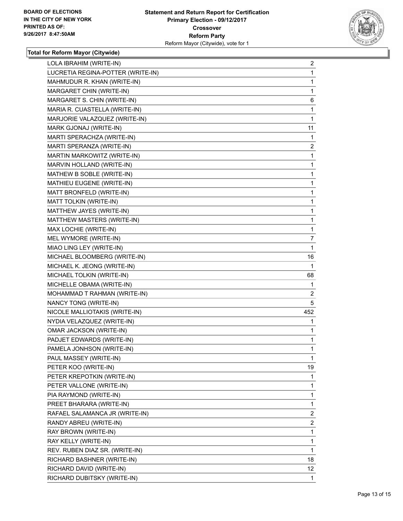

| LOLA IBRAHIM (WRITE-IN)           | $\overline{2}$ |
|-----------------------------------|----------------|
| LUCRETIA REGINA-POTTER (WRITE-IN) | $\mathbf{1}$   |
| MAHMUDUR R. KHAN (WRITE-IN)       | 1              |
| MARGARET CHIN (WRITE-IN)          | 1              |
| MARGARET S. CHIN (WRITE-IN)       | 6              |
| MARIA R. CUASTELLA (WRITE-IN)     | 1              |
| MARJORIE VALAZQUEZ (WRITE-IN)     | 1              |
| MARK GJONAJ (WRITE-IN)            | 11             |
| MARTI SPERACHZA (WRITE-IN)        | 1              |
| MARTI SPERANZA (WRITE-IN)         | 2              |
| MARTIN MARKOWITZ (WRITE-IN)       | $\mathbf{1}$   |
| MARVIN HOLLAND (WRITE-IN)         | $\mathbf{1}$   |
| MATHEW B SOBLE (WRITE-IN)         | 1              |
| MATHIEU EUGENE (WRITE-IN)         | $\mathbf{1}$   |
| MATT BRONFELD (WRITE-IN)          | 1              |
| MATT TOLKIN (WRITE-IN)            | 1              |
| MATTHEW JAYES (WRITE-IN)          | $\mathbf{1}$   |
| MATTHEW MASTERS (WRITE-IN)        | 1              |
| MAX LOCHIE (WRITE-IN)             | 1              |
| MEL WYMORE (WRITE-IN)             | 7              |
| MIAO LING LEY (WRITE-IN)          | 1              |
| MICHAEL BLOOMBERG (WRITE-IN)      | 16             |
| MICHAEL K. JEONG (WRITE-IN)       | 1              |
| MICHAEL TOLKIN (WRITE-IN)         | 68             |
| MICHELLE OBAMA (WRITE-IN)         | 1              |
| MOHAMMAD T RAHMAN (WRITE-IN)      | 2              |
| NANCY TONG (WRITE-IN)             | 5              |
| NICOLE MALLIOTAKIS (WRITE-IN)     | 452            |
| NYDIA VELAZQUEZ (WRITE-IN)        | 1              |
| OMAR JACKSON (WRITE-IN)           | 1              |
| PADJET EDWARDS (WRITE-IN)         | 1              |
| PAMELA JONHSON (WRITE-IN)         | $\mathbf{1}$   |
| PAUL MASSEY (WRITE-IN)            | 1              |
| PETER KOO (WRITE-IN)              | 19             |
| PETER KREPOTKIN (WRITE-IN)        | 1              |
| PETER VALLONE (WRITE-IN)          | 1              |
| PIA RAYMOND (WRITE-IN)            | 1              |
| PREET BHARARA (WRITE-IN)          | $\mathbf{1}$   |
| RAFAEL SALAMANCA JR (WRITE-IN)    | 2              |
| RANDY ABREU (WRITE-IN)            | $\overline{2}$ |
| RAY BROWN (WRITE-IN)              | 1              |
| RAY KELLY (WRITE-IN)              | 1              |
| REV. RUBEN DIAZ SR. (WRITE-IN)    | 1              |
| RICHARD BASHNER (WRITE-IN)        | 18             |
| RICHARD DAVID (WRITE-IN)          | 12             |
| RICHARD DUBITSKY (WRITE-IN)       | 1              |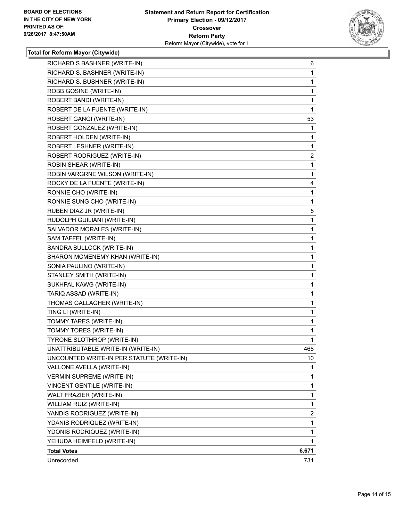

| RICHARD S BASHNER (WRITE-IN)              | 6     |
|-------------------------------------------|-------|
| RICHARD S. BASHNER (WRITE-IN)             | 1     |
| RICHARD S. BUSHNER (WRITE-IN)             | 1     |
| ROBB GOSINE (WRITE-IN)                    | 1     |
| ROBERT BANDI (WRITE-IN)                   | 1     |
| ROBERT DE LA FUENTE (WRITE-IN)            | 1     |
| ROBERT GANGI (WRITE-IN)                   | 53    |
| ROBERT GONZALEZ (WRITE-IN)                | 1     |
| ROBERT HOLDEN (WRITE-IN)                  | 1     |
| ROBERT LESHNER (WRITE-IN)                 | 1     |
| ROBERT RODRIGUEZ (WRITE-IN)               | 2     |
| ROBIN SHEAR (WRITE-IN)                    | 1     |
| ROBIN VARGRNE WILSON (WRITE-IN)           | 1     |
| ROCKY DE LA FUENTE (WRITE-IN)             | 4     |
| RONNIE CHO (WRITE-IN)                     | 1     |
| RONNIE SUNG CHO (WRITE-IN)                | 1     |
| RUBEN DIAZ JR (WRITE-IN)                  | 5     |
| RUDOLPH GUILIANI (WRITE-IN)               | 1     |
| SALVADOR MORALES (WRITE-IN)               | 1     |
| SAM TAFFEL (WRITE-IN)                     | 1     |
| SANDRA BULLOCK (WRITE-IN)                 | 1     |
| SHARON MCMENEMY KHAN (WRITE-IN)           | 1     |
| SONIA PAULINO (WRITE-IN)                  | 1     |
| STANLEY SMITH (WRITE-IN)                  | 1     |
| SUKHPAL KAWG (WRITE-IN)                   | 1     |
| TARIQ ASSAD (WRITE-IN)                    | 1     |
| THOMAS GALLAGHER (WRITE-IN)               | 1     |
| TING LI (WRITE-IN)                        | 1     |
| TOMMY TARES (WRITE-IN)                    | 1     |
| TOMMY TORES (WRITE-IN)                    | 1     |
| TYRONE SLOTHROP (WRITE-IN)                | 1     |
| UNATTRIBUTABLE WRITE-IN (WRITE-IN)        | 468   |
| UNCOUNTED WRITE-IN PER STATUTE (WRITE-IN) | 10    |
| VALLONE AVELLA (WRITE-IN)                 | 1     |
| <b>VERMIN SUPREME (WRITE-IN)</b>          | 1     |
| VINCENT GENTILE (WRITE-IN)                | 1     |
| WALT FRAZIER (WRITE-IN)                   | 1     |
| WILLIAM RUIZ (WRITE-IN)                   | 1     |
| YANDIS RODRIGUEZ (WRITE-IN)               | 2     |
| YDANIS RODRIQUEZ (WRITE-IN)               | 1     |
| YDONIS RODRIQUEZ (WRITE-IN)               | 1     |
| YEHUDA HEIMFELD (WRITE-IN)                | 1     |
| <b>Total Votes</b>                        | 6,671 |
| Unrecorded                                | 731   |